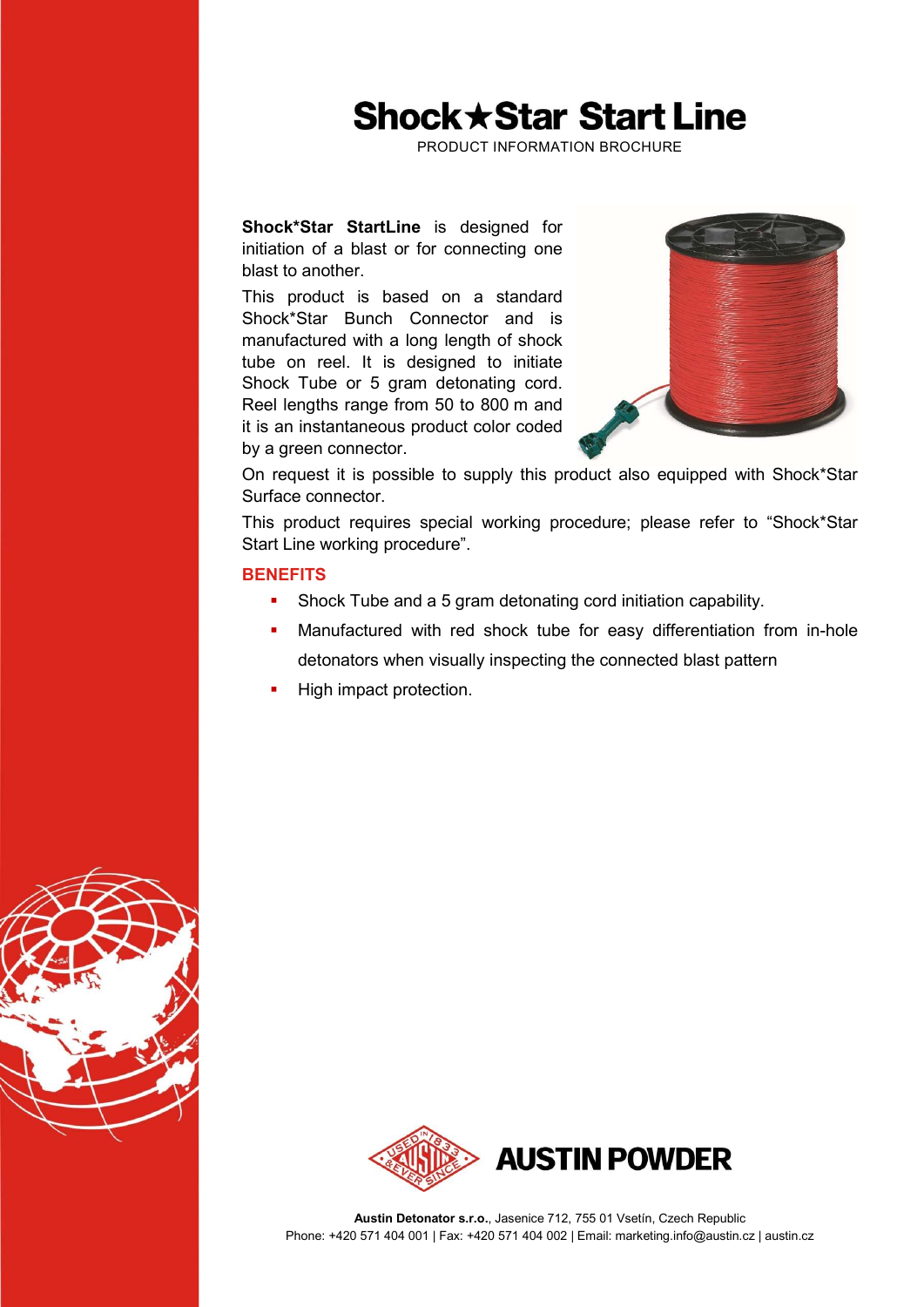## **Shock ★ Star Start Line**

PRODUCT INFORMATION BROCHURE

Shock\*Star StartLine is designed for initiation of a blast or for connecting one blast to another.

This product is based on a standard Shock\*Star Bunch Connector and is manufactured with a long length of shock tube on reel. It is designed to initiate Shock Tube or 5 gram detonating cord. Reel lengths range from 50 to 800 m and it is an instantaneous product color coded by a green connector.



On request it is possible to supply this product also equipped with Shock\*Star Surface connector.

This product requires special working procedure; please refer to "Shock\*Star Start Line working procedure".

#### **BENEFITS**

- Shock Tube and a 5 gram detonating cord initiation capability.
- Manufactured with red shock tube for easy differentiation from in-hole detonators when visually inspecting the connected blast pattern
- High impact protection.